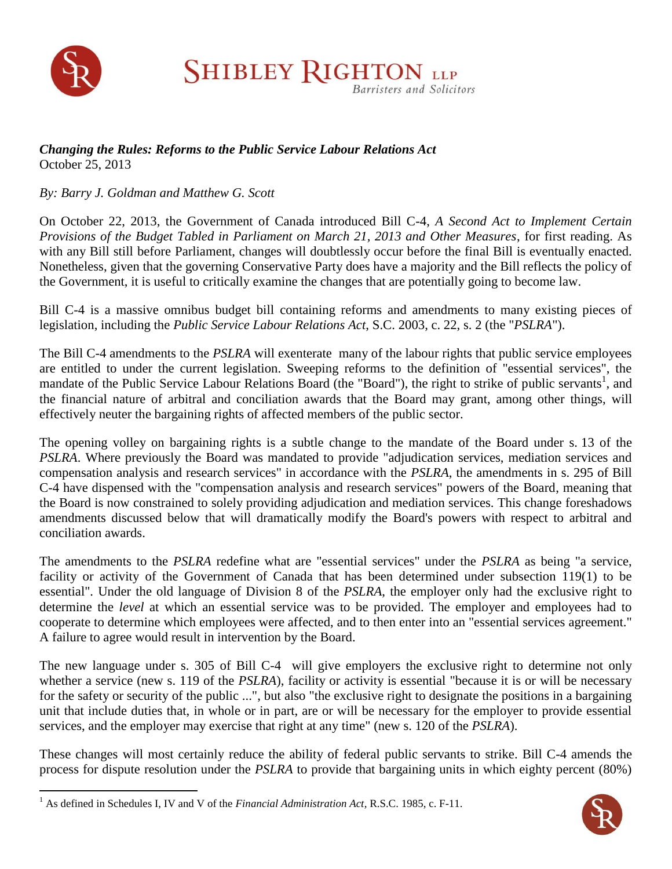

 $\overline{a}$ 

**SHIBLEY RIGHTON LLP Barristers and Solicitors** 

## *Changing the Rules: Reforms to the Public Service Labour Relations Act* October 25, 2013

*By: Barry J. Goldman and Matthew G. Scott*

On October 22, 2013, the Government of Canada introduced Bill C-4, *A Second Act to Implement Certain Provisions of the Budget Tabled in Parliament on March 21, 2013 and Other Measures*, for first reading. As with any Bill still before Parliament, changes will doubtlessly occur before the final Bill is eventually enacted. Nonetheless, given that the governing Conservative Party does have a majority and the Bill reflects the policy of the Government, it is useful to critically examine the changes that are potentially going to become law.

Bill C-4 is a massive omnibus budget bill containing reforms and amendments to many existing pieces of legislation, including the *Public Service Labour Relations Act*, S.C. 2003, c. 22, s. 2 (the "*PSLRA*").

The Bill C-4 amendments to the *PSLRA* will exenterate many of the labour rights that public service employees are entitled to under the current legislation. Sweeping reforms to the definition of "essential services", the mandate of the Public Service Labour Relations Board (the "Board"), the right to strike of public servants<sup>1</sup>, and the financial nature of arbitral and conciliation awards that the Board may grant, among other things, will effectively neuter the bargaining rights of affected members of the public sector.

The opening volley on bargaining rights is a subtle change to the mandate of the Board under s. 13 of the *PSLRA*. Where previously the Board was mandated to provide "adjudication services, mediation services and compensation analysis and research services" in accordance with the *PSLRA*, the amendments in s. 295 of Bill C-4 have dispensed with the "compensation analysis and research services" powers of the Board, meaning that the Board is now constrained to solely providing adjudication and mediation services. This change foreshadows amendments discussed below that will dramatically modify the Board's powers with respect to arbitral and conciliation awards.

The amendments to the *PSLRA* redefine what are "essential services" under the *PSLRA* as being "a service, facility or activity of the Government of Canada that has been determined under subsection 119(1) to be essential". Under the old language of Division 8 of the *PSLRA*, the employer only had the exclusive right to determine the *level* at which an essential service was to be provided. The employer and employees had to cooperate to determine which employees were affected, and to then enter into an "essential services agreement." A failure to agree would result in intervention by the Board.

The new language under s. 305 of Bill C-4 will give employers the exclusive right to determine not only whether a service (new s. 119 of the *PSLRA*), facility or activity is essential "because it is or will be necessary for the safety or security of the public ...", but also "the exclusive right to designate the positions in a bargaining unit that include duties that, in whole or in part, are or will be necessary for the employer to provide essential services, and the employer may exercise that right at any time" (new s. 120 of the *PSLRA*).

These changes will most certainly reduce the ability of federal public servants to strike. Bill C-4 amends the process for dispute resolution under the *PSLRA* to provide that bargaining units in which eighty percent (80%)



<sup>1</sup> As defined in Schedules I, IV and V of the *Financial Administration Act*, R.S.C. 1985, c. F-11.